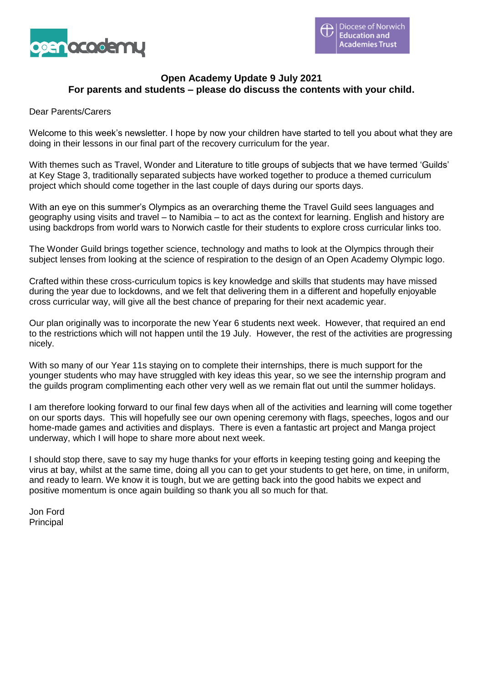

# **Open Academy Update 9 July 2021 For parents and students – please do discuss the contents with your child.**

#### Dear Parents/Carers

Welcome to this week's newsletter. I hope by now your children have started to tell you about what they are doing in their lessons in our final part of the recovery curriculum for the year.

With themes such as Travel, Wonder and Literature to title groups of subjects that we have termed 'Guilds' at Key Stage 3, traditionally separated subjects have worked together to produce a themed curriculum project which should come together in the last couple of days during our sports days.

With an eye on this summer's Olympics as an overarching theme the Travel Guild sees languages and geography using visits and travel – to Namibia – to act as the context for learning. English and history are using backdrops from world wars to Norwich castle for their students to explore cross curricular links too.

The Wonder Guild brings together science, technology and maths to look at the Olympics through their subject lenses from looking at the science of respiration to the design of an Open Academy Olympic logo.

Crafted within these cross-curriculum topics is key knowledge and skills that students may have missed during the year due to lockdowns, and we felt that delivering them in a different and hopefully enjoyable cross curricular way, will give all the best chance of preparing for their next academic year.

Our plan originally was to incorporate the new Year 6 students next week. However, that required an end to the restrictions which will not happen until the 19 July. However, the rest of the activities are progressing nicely.

With so many of our Year 11s staying on to complete their internships, there is much support for the younger students who may have struggled with key ideas this year, so we see the internship program and the guilds program complimenting each other very well as we remain flat out until the summer holidays.

I am therefore looking forward to our final few days when all of the activities and learning will come together on our sports days. This will hopefully see our own opening ceremony with flags, speeches, logos and our home-made games and activities and displays. There is even a fantastic art project and Manga project underway, which I will hope to share more about next week.

I should stop there, save to say my huge thanks for your efforts in keeping testing going and keeping the virus at bay, whilst at the same time, doing all you can to get your students to get here, on time, in uniform, and ready to learn. We know it is tough, but we are getting back into the good habits we expect and positive momentum is once again building so thank you all so much for that.

Jon Ford Principal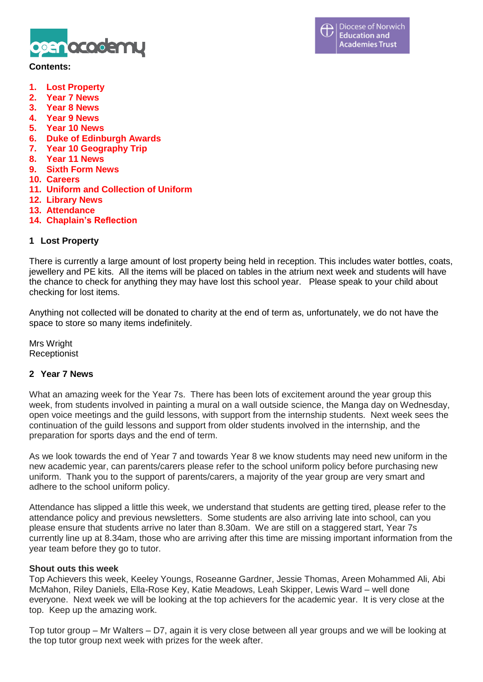

#### **Contents:**

- **1. Lost Property**
- **2. Year 7 News**
- **3. Year 8 News**
- **4. Year 9 News**
- **5. Year 10 News**
- **6. Duke of Edinburgh Awards**
- **7. Year 10 Geography Trip**
- **8. Year 11 News**
- **9. Sixth Form News**
- **10. Careers**
- **11. Uniform and Collection of Uniform**
- **12. Library News**
- **13. Attendance**
- **14. Chaplain's Reflection**

### **1 Lost Property**

There is currently a large amount of lost property being held in reception. This includes water bottles, coats, jewellery and PE kits. All the items will be placed on tables in the atrium next week and students will have the chance to check for anything they may have lost this school year. Please speak to your child about checking for lost items.

Anything not collected will be donated to charity at the end of term as, unfortunately, we do not have the space to store so many items indefinitely.

Mrs Wright **Receptionist** 

### **2 Year 7 News**

What an amazing week for the Year 7s. There has been lots of excitement around the year group this week, from students involved in painting a mural on a wall outside science, the Manga day on Wednesday, open voice meetings and the guild lessons, with support from the internship students. Next week sees the continuation of the guild lessons and support from older students involved in the internship, and the preparation for sports days and the end of term.

As we look towards the end of Year 7 and towards Year 8 we know students may need new uniform in the new academic year, can parents/carers please refer to the school uniform policy before purchasing new uniform. Thank you to the support of parents/carers, a majority of the year group are very smart and adhere to the school uniform policy.

Attendance has slipped a little this week, we understand that students are getting tired, please refer to the attendance policy and previous newsletters. Some students are also arriving late into school, can you please ensure that students arrive no later than 8.30am. We are still on a staggered start, Year 7s currently line up at 8.34am, those who are arriving after this time are missing important information from the year team before they go to tutor.

### **Shout outs this week**

Top Achievers this week, Keeley Youngs, Roseanne Gardner, Jessie Thomas, Areen Mohammed Ali, Abi McMahon, Riley Daniels, Ella-Rose Key, Katie Meadows, Leah Skipper, Lewis Ward – well done everyone. Next week we will be looking at the top achievers for the academic year. It is very close at the top. Keep up the amazing work.

Top tutor group – Mr Walters – D7, again it is very close between all year groups and we will be looking at the top tutor group next week with prizes for the week after.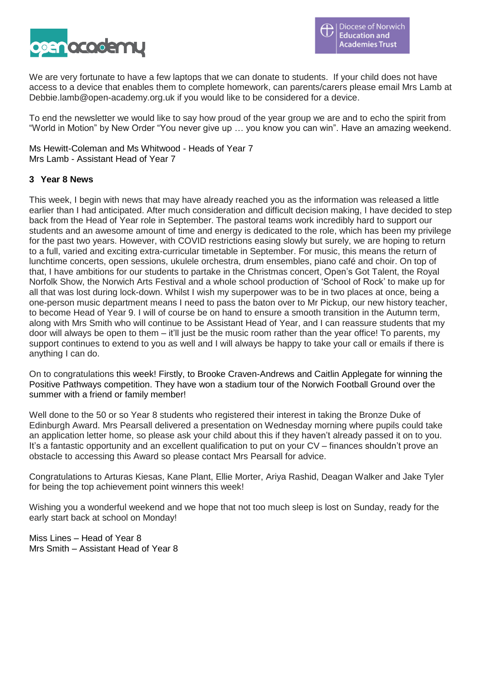

We are very fortunate to have a few laptops that we can donate to students. If your child does not have access to a device that enables them to complete homework, can parents/carers please email Mrs Lamb at Debbie.lamb@open-academy.org.uk if you would like to be considered for a device.

To end the newsletter we would like to say how proud of the year group we are and to echo the spirit from "World in Motion" by New Order "You never give up … you know you can win". Have an amazing weekend.

Ms Hewitt-Coleman and Ms Whitwood - Heads of Year 7 Mrs Lamb - Assistant Head of Year 7

### **3 Year 8 News**

This week, I begin with news that may have already reached you as the information was released a little earlier than I had anticipated. After much consideration and difficult decision making, I have decided to step back from the Head of Year role in September. The pastoral teams work incredibly hard to support our students and an awesome amount of time and energy is dedicated to the role, which has been my privilege for the past two years. However, with COVID restrictions easing slowly but surely, we are hoping to return to a full, varied and exciting extra-curricular timetable in September. For music, this means the return of lunchtime concerts, open sessions, ukulele orchestra, drum ensembles, piano café and choir. On top of that, I have ambitions for our students to partake in the Christmas concert, Open's Got Talent, the Royal Norfolk Show, the Norwich Arts Festival and a whole school production of 'School of Rock' to make up for all that was lost during lock-down. Whilst I wish my superpower was to be in two places at once, being a one-person music department means I need to pass the baton over to Mr Pickup, our new history teacher, to become Head of Year 9. I will of course be on hand to ensure a smooth transition in the Autumn term, along with Mrs Smith who will continue to be Assistant Head of Year, and I can reassure students that my door will always be open to them – it'll just be the music room rather than the year office! To parents, my support continues to extend to you as well and I will always be happy to take your call or emails if there is anything I can do.

On to congratulations this week! Firstly, to Brooke Craven-Andrews and Caitlin Applegate for winning the Positive Pathways competition. They have won a stadium tour of the Norwich Football Ground over the summer with a friend or family member!

Well done to the 50 or so Year 8 students who registered their interest in taking the Bronze Duke of Edinburgh Award. Mrs Pearsall delivered a presentation on Wednesday morning where pupils could take an application letter home, so please ask your child about this if they haven't already passed it on to you. It's a fantastic opportunity and an excellent qualification to put on your CV – finances shouldn't prove an obstacle to accessing this Award so please contact Mrs Pearsall for advice.

Congratulations to Arturas Kiesas, Kane Plant, Ellie Morter, Ariya Rashid, Deagan Walker and Jake Tyler for being the top achievement point winners this week!

Wishing you a wonderful weekend and we hope that not too much sleep is lost on Sunday, ready for the early start back at school on Monday!

Miss Lines – Head of Year 8 Mrs Smith – Assistant Head of Year 8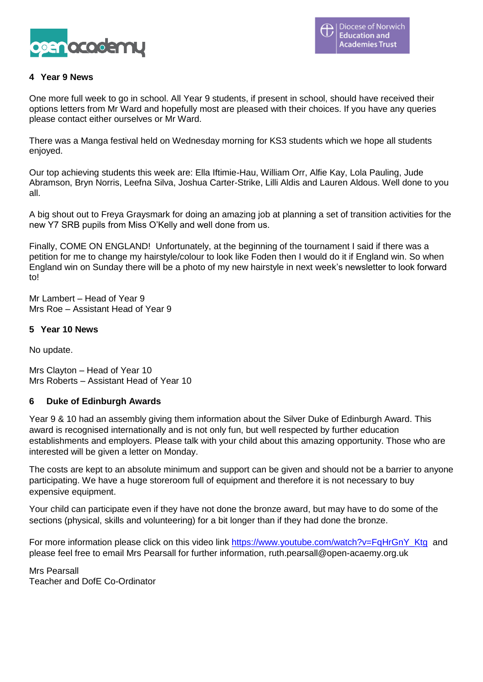

## **4 Year 9 News**

One more full week to go in school. All Year 9 students, if present in school, should have received their options letters from Mr Ward and hopefully most are pleased with their choices. If you have any queries please contact either ourselves or Mr Ward.

There was a Manga festival held on Wednesday morning for KS3 students which we hope all students enjoyed.

Our top achieving students this week are: Ella Iftimie-Hau, William Orr, Alfie Kay, Lola Pauling, Jude Abramson, Bryn Norris, Leefna Silva, Joshua Carter-Strike, Lilli Aldis and Lauren Aldous. Well done to you all.

A big shout out to Freya Graysmark for doing an amazing job at planning a set of transition activities for the new Y7 SRB pupils from Miss O'Kelly and well done from us.

Finally, COME ON ENGLAND! Unfortunately, at the beginning of the tournament I said if there was a petition for me to change my hairstyle/colour to look like Foden then I would do it if England win. So when England win on Sunday there will be a photo of my new hairstyle in next week's newsletter to look forward to!

Mr Lambert – Head of Year 9 Mrs Roe – Assistant Head of Year 9

### **5 Year 10 News**

No update.

Mrs Clayton – Head of Year 10 Mrs Roberts – Assistant Head of Year 10

### **6 Duke of Edinburgh Awards**

Year 9 & 10 had an assembly giving them information about the Silver Duke of Edinburgh Award. This award is recognised internationally and is not only fun, but well respected by further education establishments and employers. Please talk with your child about this amazing opportunity. Those who are interested will be given a letter on Monday.

The costs are kept to an absolute minimum and support can be given and should not be a barrier to anyone participating. We have a huge storeroom full of equipment and therefore it is not necessary to buy expensive equipment.

Your child can participate even if they have not done the bronze award, but may have to do some of the sections (physical, skills and volunteering) for a bit longer than if they had done the bronze.

For more information please click on this video link [https://www.youtube.com/watch?v=FqHrGnY\\_Ktg](https://www.youtube.com/watch?v=FqHrGnY_Ktg) and please feel free to email Mrs Pearsall for further information, ruth.pearsall@open-acaemy.org.uk

Mrs Pearsall Teacher and DofE Co-Ordinator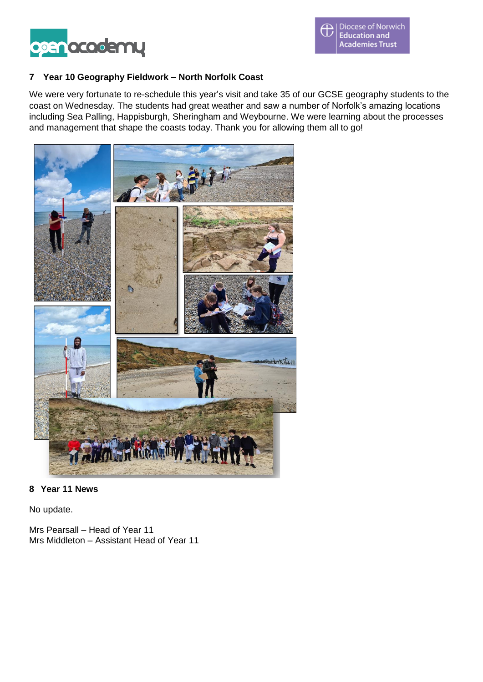

# **7 Year 10 Geography Fieldwork – North Norfolk Coast**

We were very fortunate to re-schedule this year's visit and take 35 of our GCSE geography students to the coast on Wednesday. The students had great weather and saw a number of Norfolk's amazing locations including Sea Palling, Happisburgh, Sheringham and Weybourne. We were learning about the processes and management that shape the coasts today. Thank you for allowing them all to go!



### **8 Year 11 News**

No update.

Mrs Pearsall – Head of Year 11 Mrs Middleton – Assistant Head of Year 11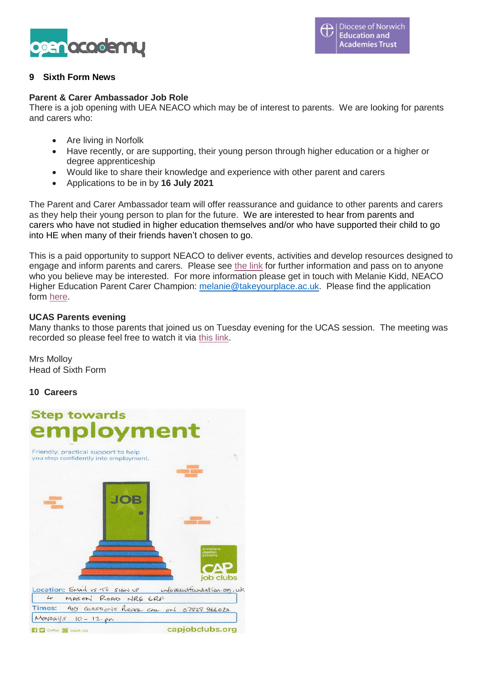

# **9 Sixth Form News**

### **Parent & Carer Ambassador Job Role**

There is a job opening with UEA NEACO which may be of interest to parents. We are looking for parents and carers who:

- Are living in Norfolk
- Have recently, or are supporting, their young person through higher education or a higher or degree apprenticeship
- Would like to share their knowledge and experience with other parent and carers
- Applications to be in by **16 July 2021**

The Parent and Carer Ambassador team will offer reassurance and guidance to other parents and carers as they help their young person to plan for the future. We are interested to hear from parents and carers who have not studied in higher education themselves and/or who have supported their child to go into HE when many of their friends haven't chosen to go.

This is a paid opportunity to support NEACO to deliver events, activities and develop resources designed to engage and inform parents and carers. Please see [the link](https://www.takeyourplace.ac.uk/about/work-for-us) for further information and pass on to anyone who you believe may be interested. For more information please get in touch with Melanie Kidd, NEACO Higher Education Parent Carer Champion: [melanie@takeyourplace.ac.uk.](mailto:melanie@takeyourplace.ac.uk) Please find the application form [here.](https://eur01.safelinks.protection.outlook.com/?url=https%3A%2F%2Fforms.office.com%2Fr%2F3r0Let3Wxy&data=04%7C01%7CCarrie.Tooke%40uea.ac.uk%7C9d25954ca0b746084b2e08d93afa29ff%7Cc65f8795ba3d43518a070865e5d8f090%7C0%7C0%7C637605668378935139%7CUnknown%7CTWFpbGZsb3d8eyJWIjoiMC4wLjAwMDAiLCJQIjoiV2luMzIiLCJBTiI6Ik1haWwiLCJXVCI6Mn0%3D%7C1000&sdata=hWSWKcqV2%2FQQUWXB3VPsHRYGminpG77SiMDsI95m%2BXw%3D&reserved=0)

#### **UCAS Parents evening**

Many thanks to those parents that joined us on Tuesday evening for the UCAS session. The meeting was recorded so please feel free to watch it via [this link.](https://utv.uea.ac.uk/View.aspx?id=61053~5c~UkDY6vWvnP&code=Vq~rqvmWG7vLKF5GDJgGzeBr5Tig5FxBa6mmYs3O0Gv7i8LyEd5TSIkqvKpYYo3zePv7dkHfGSnqqsgD2KNdMHJQxFGcGa683p3mw6SfSAOqRxofQob&ax=7y~fkRpFoInoBiUGY)

Mrs Molloy Head of Sixth Form

### **10 Careers**

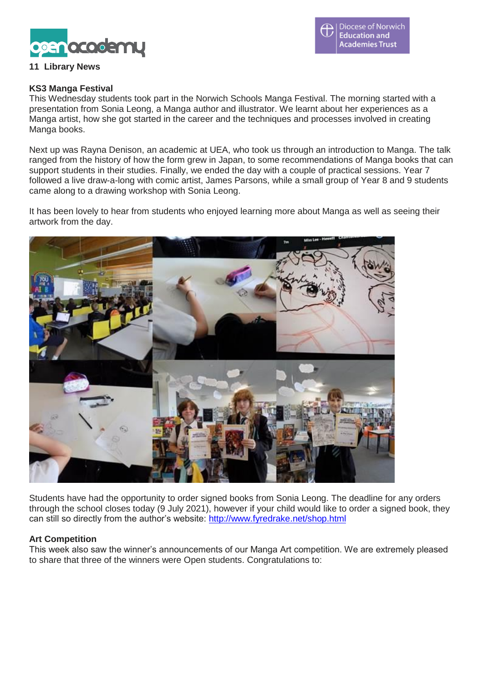

#### Diocese of Norwich **Education and Academies Trust**

# **11 Library News**

#### **KS3 Manga Festival**

This Wednesday students took part in the Norwich Schools Manga Festival. The morning started with a presentation from Sonia Leong, a Manga author and illustrator. We learnt about her experiences as a Manga artist, how she got started in the career and the techniques and processes involved in creating Manga books.

Next up was Rayna Denison, an academic at UEA, who took us through an introduction to Manga. The talk ranged from the history of how the form grew in Japan, to some recommendations of Manga books that can support students in their studies. Finally, we ended the day with a couple of practical sessions. Year 7 followed a live draw-a-long with comic artist, James Parsons, while a small group of Year 8 and 9 students came along to a drawing workshop with Sonia Leong.

It has been lovely to hear from students who enjoyed learning more about Manga as well as seeing their artwork from the day.



Students have had the opportunity to order signed books from Sonia Leong. The deadline for any orders through the school closes today (9 July 2021), however if your child would like to order a signed book, they can still so directly from the author's website: <http://www.fyredrake.net/shop.html>

### **Art Competition**

This week also saw the winner's announcements of our Manga Art competition. We are extremely pleased to share that three of the winners were Open students. Congratulations to: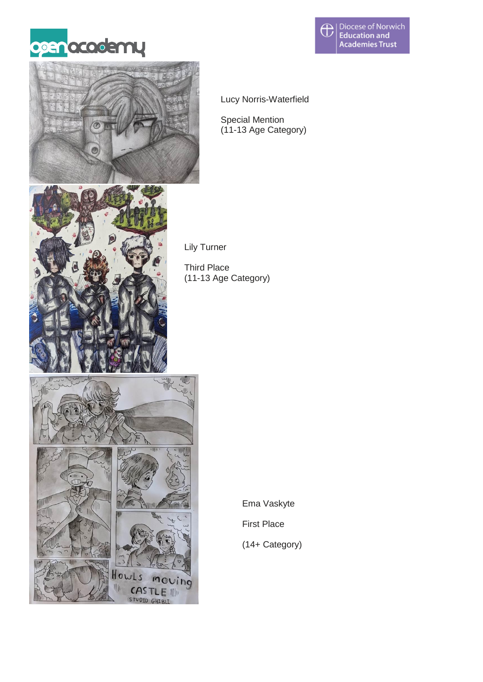





Lucy Norris-Waterfield

Special Mention (11-13 Age Category)



Lily Turner

Third Place (11-13 Age Category)



Ema Vaskyte

First Place

(14+ Category)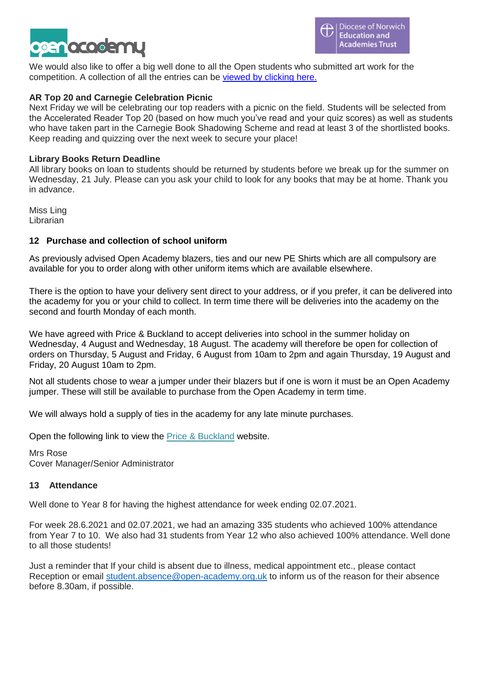

We would also like to offer a big well done to all the Open students who submitted art work for the competition. A collection of all the entries can be viewed by [clicking](https://openacademyorguk-my.sharepoint.com/:b:/g/personal/donna_ling_open-academy_org_uk/EWVh-XfLABVFoOjAKdB5Ng4BuChjkBHWLKwhg07gHr-lQw?e=Yfd93M) here.

### **AR Top 20 and Carnegie Celebration Picnic**

Next Friday we will be celebrating our top readers with a picnic on the field. Students will be selected from the Accelerated Reader Top 20 (based on how much you've read and your quiz scores) as well as students who have taken part in the Carnegie Book Shadowing Scheme and read at least 3 of the shortlisted books. Keep reading and quizzing over the next week to secure your place!

### **Library Books Return Deadline**

All library books on loan to students should be returned by students before we break up for the summer on Wednesday, 21 July. Please can you ask your child to look for any books that may be at home. Thank you in advance.

Miss Ling Librarian

### **12 Purchase and collection of school uniform**

As previously advised Open Academy blazers, ties and our new PE Shirts which are all compulsory are available for you to order along with other uniform items which are available elsewhere.

There is the option to have your delivery sent direct to your address, or if you prefer, it can be delivered into the academy for you or your child to collect. In term time there will be deliveries into the academy on the second and fourth Monday of each month.

We have agreed with Price & Buckland to accept deliveries into school in the summer holiday on Wednesday, 4 August and Wednesday, 18 August. The academy will therefore be open for collection of orders on Thursday, 5 August and Friday, 6 August from 10am to 2pm and again Thursday, 19 August and Friday, 20 August 10am to 2pm.

Not all students chose to wear a jumper under their blazers but if one is worn it must be an Open Academy jumper. These will still be available to purchase from the Open Academy in term time.

We will always hold a supply of ties in the academy for any late minute purchases.

Open the following link to view the [Price & Buckland](https://price-buckland.co.uk/school-finder/?school-search=Open+Academy) website.

Mrs Rose Cover Manager/Senior Administrator

### **13 Attendance**

Well done to Year 8 for having the highest attendance for week ending 02.07.2021.

For week 28.6.2021 and 02.07.2021, we had an amazing 335 students who achieved 100% attendance from Year 7 to 10. We also had 31 students from Year 12 who also achieved 100% attendance. Well done to all those students!

Just a reminder that If your child is absent due to illness, medical appointment etc., please contact Reception or email [student.absence@open-academy.org.uk](mailto:student.absence@open-academy.org.uk) to inform us of the reason for their absence before 8.30am, if possible.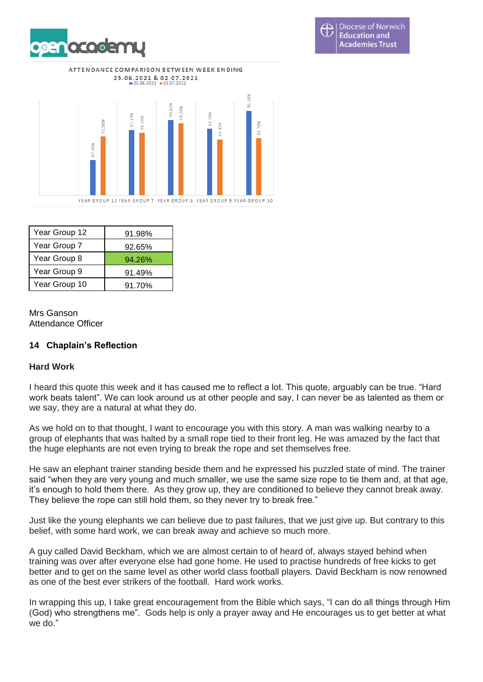



**Diocese of Norwich** Œ **Education and Academies Trust** 

| Year Group 12 | 91.98% |
|---------------|--------|
| Year Group 7  | 92.65% |
| Year Group 8  | 94.26% |
| Year Group 9  | 91.49% |
| Year Group 10 | 91.70% |

Mrs Ganson Attendance Officer

# **14 Chaplain's Reflection**

### **Hard Work**

I heard this quote this week and it has caused me to reflect a lot. This quote, arguably can be true. "Hard work beats talent". We can look around us at other people and say, I can never be as talented as them or we say, they are a natural at what they do.

As we hold on to that thought, I want to encourage you with this story. A man was walking nearby to a group of elephants that was halted by a small rope tied to their front leg. He was amazed by the fact that the huge elephants are not even trying to break the rope and set themselves free.

He saw an elephant trainer standing beside them and he expressed his puzzled state of mind. The trainer said "when they are very young and much smaller, we use the same size rope to tie them and, at that age, it's enough to hold them there. As they grow up, they are conditioned to believe they cannot break away. They believe the rope can still hold them, so they never try to break free."

Just like the young elephants we can believe due to past failures, that we just give up. But contrary to this belief, with some hard work, we can break away and achieve so much more.

A guy called David Beckham, which we are almost certain to of heard of, always stayed behind when training was over after everyone else had gone home. He used to practise hundreds of free kicks to get better and to get on the same level as other world class football players. David Beckham is now renowned as one of the best ever strikers of the football. Hard work works.

In wrapping this up, I take great encouragement from the Bible which says, "I can do all things through Him (God) who strengthens me". Gods help is only a prayer away and He encourages us to get better at what we do."